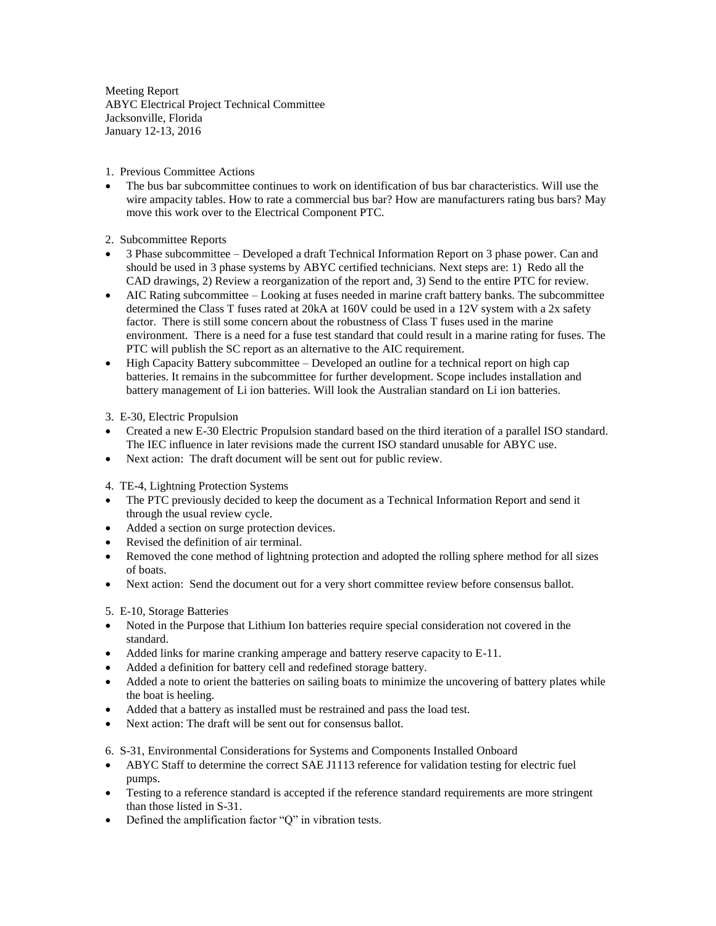Meeting Report ABYC Electrical Project Technical Committee Jacksonville, Florida January 12-13, 2016

1. Previous Committee Actions

 The bus bar subcommittee continues to work on identification of bus bar characteristics. Will use the wire ampacity tables. How to rate a commercial bus bar? How are manufacturers rating bus bars? May move this work over to the Electrical Component PTC.

2. Subcommittee Reports

- 3 Phase subcommittee Developed a draft Technical Information Report on 3 phase power. Can and should be used in 3 phase systems by ABYC certified technicians. Next steps are: 1) Redo all the CAD drawings, 2) Review a reorganization of the report and, 3) Send to the entire PTC for review.
- AIC Rating subcommittee Looking at fuses needed in marine craft battery banks. The subcommittee determined the Class T fuses rated at 20kA at 160V could be used in a 12V system with a 2x safety factor. There is still some concern about the robustness of Class T fuses used in the marine environment. There is a need for a fuse test standard that could result in a marine rating for fuses. The PTC will publish the SC report as an alternative to the AIC requirement.
- High Capacity Battery subcommittee Developed an outline for a technical report on high cap batteries. It remains in the subcommittee for further development. Scope includes installation and battery management of Li ion batteries. Will look the Australian standard on Li ion batteries.

3. E-30, Electric Propulsion

- Created a new E-30 Electric Propulsion standard based on the third iteration of a parallel ISO standard. The IEC influence in later revisions made the current ISO standard unusable for ABYC use.
- Next action: The draft document will be sent out for public review.

4. TE-4, Lightning Protection Systems

- The PTC previously decided to keep the document as a Technical Information Report and send it through the usual review cycle.
- Added a section on surge protection devices.
- Revised the definition of air terminal.
- Removed the cone method of lightning protection and adopted the rolling sphere method for all sizes of boats.
- Next action: Send the document out for a very short committee review before consensus ballot.

5. E-10, Storage Batteries

- Noted in the Purpose that Lithium Ion batteries require special consideration not covered in the standard.
- Added links for marine cranking amperage and battery reserve capacity to E-11.
- Added a definition for battery cell and redefined storage battery.
- Added a note to orient the batteries on sailing boats to minimize the uncovering of battery plates while the boat is heeling.
- Added that a battery as installed must be restrained and pass the load test.
- Next action: The draft will be sent out for consensus ballot.

6. S-31, Environmental Considerations for Systems and Components Installed Onboard

- ABYC Staff to determine the correct SAE J1113 reference for validation testing for electric fuel pumps.
- Testing to a reference standard is accepted if the reference standard requirements are more stringent than those listed in S-31.
- Defined the amplification factor "Q" in vibration tests.